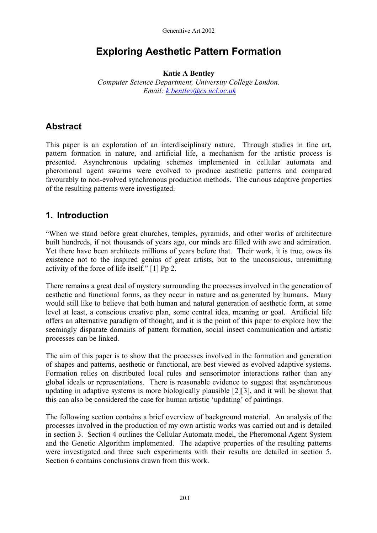# **Exploring Aesthetic Pattern Formation**

**Katie A Bentley** 

*Computer Science Department, University College London. Email: [k.bentley@cs.ucl.ac.uk](mailto:k.bentley@cs.ucl.ac.uk)*

# **Abstract**

This paper is an exploration of an interdisciplinary nature. Through studies in fine art, pattern formation in nature, and artificial life, a mechanism for the artistic process is presented. Asynchronous updating schemes implemented in cellular automata and pheromonal agent swarms were evolved to produce aesthetic patterns and compared favourably to non-evolved synchronous production methods. The curious adaptive properties of the resulting patterns were investigated.

# **1. Introduction**

"When we stand before great churches, temples, pyramids, and other works of architecture built hundreds, if not thousands of years ago, our minds are filled with awe and admiration. Yet there have been architects millions of years before that. Their work, it is true, owes its existence not to the inspired genius of great artists, but to the unconscious, unremitting activity of the force of life itself." [1] Pp 2.

There remains a great deal of mystery surrounding the processes involved in the generation of aesthetic and functional forms, as they occur in nature and as generated by humans. Many would still like to believe that both human and natural generation of aesthetic form, at some level at least, a conscious creative plan, some central idea, meaning or goal. Artificial life offers an alternative paradigm of thought, and it is the point of this paper to explore how the seemingly disparate domains of pattern formation, social insect communication and artistic processes can be linked.

The aim of this paper is to show that the processes involved in the formation and generation of shapes and patterns, aesthetic or functional, are best viewed as evolved adaptive systems. Formation relies on distributed local rules and sensorimotor interactions rather than any global ideals or representations. There is reasonable evidence to suggest that asynchronous updating in adaptive systems is more biologically plausible [2][3], and it will be shown that this can also be considered the case for human artistic 'updating' of paintings.

The following section contains a brief overview of background material. An analysis of the processes involved in the production of my own artistic works was carried out and is detailed in section 3. Section 4 outlines the Cellular Automata model, the Pheromonal Agent System and the Genetic Algorithm implemented. The adaptive properties of the resulting patterns were investigated and three such experiments with their results are detailed in section 5. Section 6 contains conclusions drawn from this work.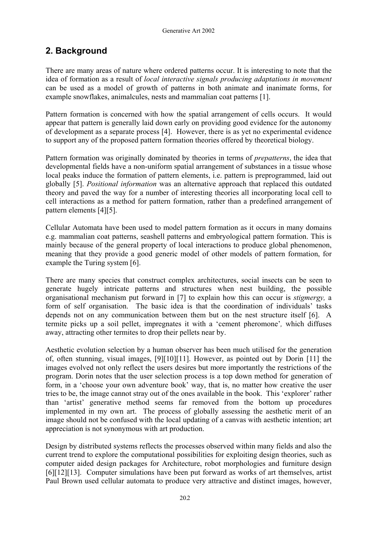# **2. Background**

There are many areas of nature where ordered patterns occur. It is interesting to note that the idea of formation as a result of *local interactive signals producing adaptations in movement* can be used as a model of growth of patterns in both animate and inanimate forms, for example snowflakes, animalcules, nests and mammalian coat patterns [1].

Pattern formation is concerned with how the spatial arrangement of cells occurs. It would appear that pattern is generally laid down early on providing good evidence for the autonomy of development as a separate process [4]. However, there is as yet no experimental evidence to support any of the proposed pattern formation theories offered by theoretical biology.

Pattern formation was originally dominated by theories in terms of *prepatterns*, the idea that developmental fields have a non-uniform spatial arrangement of substances in a tissue whose local peaks induce the formation of pattern elements, i.e. pattern is preprogrammed, laid out globally [5]. *Positional information* was an alternative approach that replaced this outdated theory and paved the way for a number of interesting theories all incorporating local cell to cell interactions as a method for pattern formation, rather than a predefined arrangement of pattern elements [4][5].

Cellular Automata have been used to model pattern formation as it occurs in many domains e.g. mammalian coat patterns, seashell patterns and embryological pattern formation. This is mainly because of the general property of local interactions to produce global phenomenon, meaning that they provide a good generic model of other models of pattern formation, for example the Turing system [6].

There are many species that construct complex architectures, social insects can be seen to generate hugely intricate patterns and structures when nest building, the possible organisational mechanism put forward in [7] to explain how this can occur is *stigmergy,* a form of self organisation. The basic idea is that the coordination of individuals' tasks depends not on any communication between them but on the nest structure itself [6]. A termite picks up a soil pellet, impregnates it with a 'cement pheromone'*,* which diffuses away, attracting other termites to drop their pellets near by.

Aesthetic evolution selection by a human observer has been much utilised for the generation of, often stunning, visual images, [9][10][11]. However, as pointed out by Dorin [11] the images evolved not only reflect the users desires but more importantly the restrictions of the program. Dorin notes that the user selection process is a top down method for generation of form, in a 'choose your own adventure book' way, that is, no matter how creative the user tries to be, the image cannot stray out of the ones available in the book. This 'explorer' rather than 'artist' generative method seems far removed from the bottom up procedures implemented in my own art. The process of globally assessing the aesthetic merit of an image should not be confused with the local updating of a canvas with aesthetic intention; art appreciation is not synonymous with art production.

Design by distributed systems reflects the processes observed within many fields and also the current trend to explore the computational possibilities for exploiting design theories, such as computer aided design packages for Architecture, robot morphologies and furniture design [6][12][13]. Computer simulations have been put forward as works of art themselves, artist Paul Brown used cellular automata to produce very attractive and distinct images, however,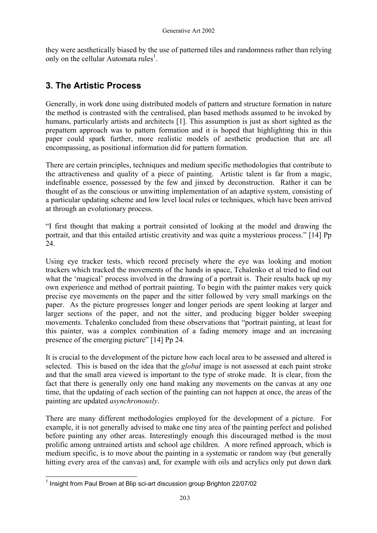they were aesthetically biased by the use of patterned tiles and randomness rather than relying only on the cellular Automata rules<sup>[1](#page-2-0)</sup>.

# **3. The Artistic Process**

Generally, in work done using distributed models of pattern and structure formation in nature the method is contrasted with the centralised, plan based methods assumed to be invoked by humans, particularly artists and architects [1]. This assumption is just as short sighted as the prepattern approach was to pattern formation and it is hoped that highlighting this in this paper could spark further, more realistic models of aesthetic production that are all encompassing, as positional information did for pattern formation.

There are certain principles, techniques and medium specific methodologies that contribute to the attractiveness and quality of a piece of painting. Artistic talent is far from a magic, indefinable essence, possessed by the few and jinxed by deconstruction. Rather it can be thought of as the conscious or unwitting implementation of an adaptive system, consisting of a particular updating scheme and low level local rules or techniques, which have been arrived at through an evolutionary process.

"I first thought that making a portrait consisted of looking at the model and drawing the portrait, and that this entailed artistic creativity and was quite a mysterious process." [14] Pp 24.

Using eye tracker tests, which record precisely where the eye was looking and motion trackers which tracked the movements of the hands in space, Tchalenko et al tried to find out what the 'magical' process involved in the drawing of a portrait is. Their results back up my own experience and method of portrait painting. To begin with the painter makes very quick precise eye movements on the paper and the sitter followed by very small markings on the paper. As the picture progresses longer and longer periods are spent looking at larger and larger sections of the paper, and not the sitter, and producing bigger bolder sweeping movements. Tchalenko concluded from these observations that "portrait painting, at least for this painter, was a complex combination of a fading memory image and an increasing presence of the emerging picture" [14] Pp 24.

It is crucial to the development of the picture how each local area to be assessed and altered is selected. This is based on the idea that the *global* image is not assessed at each paint stroke and that the small area viewed is important to the type of stroke made. It is clear, from the fact that there is generally only one hand making any movements on the canvas at any one time, that the updating of each section of the painting can not happen at once, the areas of the painting are updated *asynchronously*.

There are many different methodologies employed for the development of a picture. For example, it is not generally advised to make one tiny area of the painting perfect and polished before painting any other areas. Interestingly enough this discouraged method is the most prolific among untrained artists and school age children. A more refined approach, which is medium specific, is to move about the painting in a systematic or random way (but generally hitting every area of the canvas) and, for example with oils and acrylics only put down dark

<span id="page-2-0"></span> <sup>1</sup> Insight from Paul Brown at Blip sci-art discussion group Brighton 22/07/02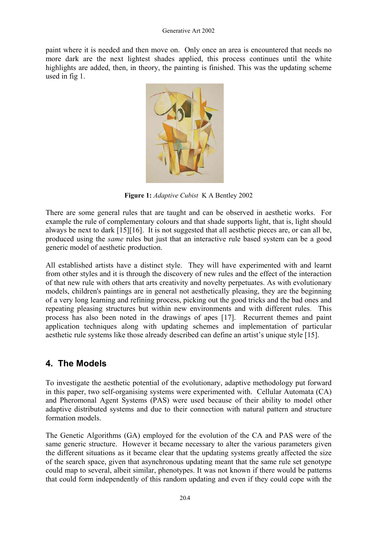paint where it is needed and then move on. Only once an area is encountered that needs no more dark are the next lightest shades applied, this process continues until the white highlights are added, then, in theory, the painting is finished. This was the updating scheme used in fig 1.



**Figure 1:** *Adaptive Cubist* K A Bentley 2002

There are some general rules that are taught and can be observed in aesthetic works. For example the rule of complementary colours and that shade supports light, that is, light should always be next to dark [15][16]. It is not suggested that all aesthetic pieces are, or can all be, produced using the *same* rules but just that an interactive rule based system can be a good generic model of aesthetic production.

All established artists have a distinct style. They will have experimented with and learnt from other styles and it is through the discovery of new rules and the effect of the interaction of that new rule with others that arts creativity and novelty perpetuates. As with evolutionary models, children's paintings are in general not aesthetically pleasing, they are the beginning of a very long learning and refining process, picking out the good tricks and the bad ones and repeating pleasing structures but within new environments and with different rules. This process has also been noted in the drawings of apes [17]. Recurrent themes and paint application techniques along with updating schemes and implementation of particular aesthetic rule systems like those already described can define an artist's unique style [15].

## **4. The Models**

To investigate the aesthetic potential of the evolutionary, adaptive methodology put forward in this paper, two self-organising systems were experimented with. Cellular Automata (CA) and Pheromonal Agent Systems (PAS) were used because of their ability to model other adaptive distributed systems and due to their connection with natural pattern and structure formation models.

The Genetic Algorithms (GA) employed for the evolution of the CA and PAS were of the same generic structure. However it became necessary to alter the various parameters given the different situations as it became clear that the updating systems greatly affected the size of the search space, given that asynchronous updating meant that the same rule set genotype could map to several, albeit similar, phenotypes. It was not known if there would be patterns that could form independently of this random updating and even if they could cope with the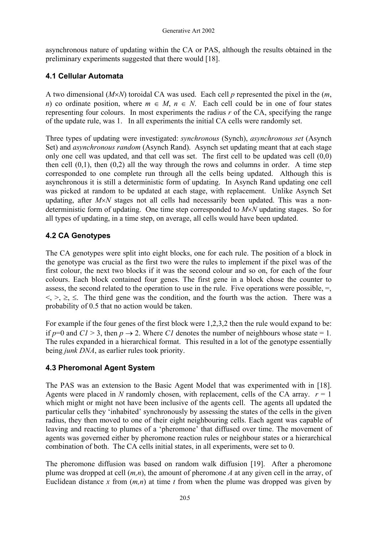asynchronous nature of updating within the CA or PAS, although the results obtained in the preliminary experiments suggested that there would [18].

### **4.1 Cellular Automata**

A two dimensional (*M*×*N*) toroidal CA was used. Each cell *p* represented the pixel in the (*m*, *n*) co ordinate position, where  $m \in M$ ,  $n \in N$ . Each cell could be in one of four states representing four colours. In most experiments the radius *r* of the CA, specifying the range of the update rule, was 1. In all experiments the initial CA cells were randomly set.

Three types of updating were investigated: *synchronous* (Synch), *asynchronous set* (Asynch Set) and *asynchronous random* (Asynch Rand). Asynch set updating meant that at each stage only one cell was updated, and that cell was set. The first cell to be updated was cell (0,0) then cell  $(0,1)$ , then  $(0,2)$  all the way through the rows and columns in order. A time step corresponded to one complete run through all the cells being updated. Although this is asynchronous it is still a deterministic form of updating. In Asynch Rand updating one cell was picked at random to be updated at each stage, with replacement. Unlike Asynch Set updating, after  $M \times N$  stages not all cells had necessarily been updated. This was a nondeterministic form of updating. One time step corresponded to *M*×*N* updating stages. So for all types of updating, in a time step, on average, all cells would have been updated.

## **4.2 CA Genotypes**

The CA genotypes were split into eight blocks, one for each rule. The position of a block in the genotype was crucial as the first two were the rules to implement if the pixel was of the first colour, the next two blocks if it was the second colour and so on, for each of the four colours. Each block contained four genes. The first gene in a block chose the counter to assess, the second related to the operation to use in the rule. Five operations were possible,  $=$ ,  $\langle \rangle \rangle$ ,  $\geq$ ,  $\leq$ . The third gene was the condition, and the fourth was the action. There was a probability of 0.5 that no action would be taken.

For example if the four genes of the first block were 1,2,3,2 then the rule would expand to be: if  $p=0$  and  $C1 > 3$ , then  $p \to 2$ . Where CI denotes the number of neighbours whose state = 1. The rules expanded in a hierarchical format. This resulted in a lot of the genotype essentially being *junk DNA*, as earlier rules took priority.

### **4.3 Pheromonal Agent System**

The PAS was an extension to the Basic Agent Model that was experimented with in [18]. Agents were placed in *N* randomly chosen, with replacement, cells of the CA array.  $r = 1$ which might or might not have been inclusive of the agents cell. The agents all updated the particular cells they 'inhabited' synchronously by assessing the states of the cells in the given radius, they then moved to one of their eight neighbouring cells. Each agent was capable of leaving and reacting to plumes of a 'pheromone' that diffused over time. The movement of agents was governed either by pheromone reaction rules or neighbour states or a hierarchical combination of both. The CA cells initial states, in all experiments, were set to 0.

The pheromone diffusion was based on random walk diffusion [19]. After a pheromone plume was dropped at cell (*m,n*), the amount of pheromone *A* at any given cell in the array, of Euclidean distance x from  $(m, n)$  at time t from when the plume was dropped was given by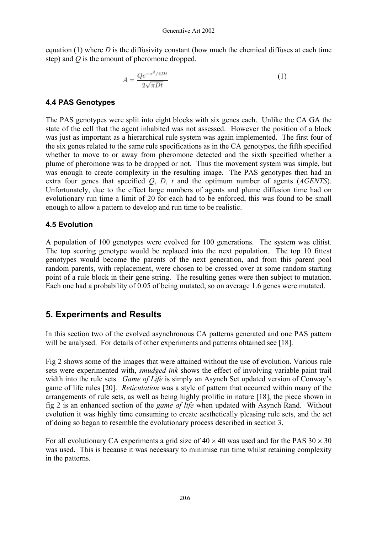equation (1) where *D* is the diffusivity constant (how much the chemical diffuses at each time step) and *Q* is the amount of pheromone dropped.

$$
A = \frac{Qe^{-x^2/4Dt}}{2\sqrt{\pi Dt}}\tag{1}
$$

### **4.4 PAS Genotypes**

The PAS genotypes were split into eight blocks with six genes each. Unlike the CA GA the state of the cell that the agent inhabited was not assessed. However the position of a block was just as important as a hierarchical rule system was again implemented. The first four of the six genes related to the same rule specifications as in the CA genotypes, the fifth specified whether to move to or away from pheromone detected and the sixth specified whether a plume of pheromone was to be dropped or not. Thus the movement system was simple, but was enough to create complexity in the resulting image. The PAS genotypes then had an extra four genes that specified *Q*, *D*, *t* and the optimum number of agents (*AGENTS*). Unfortunately, due to the effect large numbers of agents and plume diffusion time had on evolutionary run time a limit of 20 for each had to be enforced, this was found to be small enough to allow a pattern to develop and run time to be realistic.

#### **4.5 Evolution**

A population of 100 genotypes were evolved for 100 generations. The system was elitist. The top scoring genotype would be replaced into the next population. The top 10 fittest genotypes would become the parents of the next generation, and from this parent pool random parents, with replacement, were chosen to be crossed over at some random starting point of a rule block in their gene string. The resulting genes were then subject to mutation. Each one had a probability of 0.05 of being mutated, so on average 1.6 genes were mutated.

## **5. Experiments and Results**

In this section two of the evolved asynchronous CA patterns generated and one PAS pattern will be analysed. For details of other experiments and patterns obtained see [18].

Fig 2 shows some of the images that were attained without the use of evolution. Various rule sets were experimented with, *smudged ink* shows the effect of involving variable paint trail width into the rule sets. *Game of Life* is simply an Asynch Set updated version of Conway's game of life rules [20]. *Reticulation* was a style of pattern that occurred within many of the arrangements of rule sets, as well as being highly prolific in nature [18], the piece shown in fig 2 is an enhanced section of the *game of life* when updated with Asynch Rand. Without evolution it was highly time consuming to create aesthetically pleasing rule sets, and the act of doing so began to resemble the evolutionary process described in section 3.

For all evolutionary CA experiments a grid size of  $40 \times 40$  was used and for the PAS  $30 \times 30$ was used. This is because it was necessary to minimise run time whilst retaining complexity in the patterns.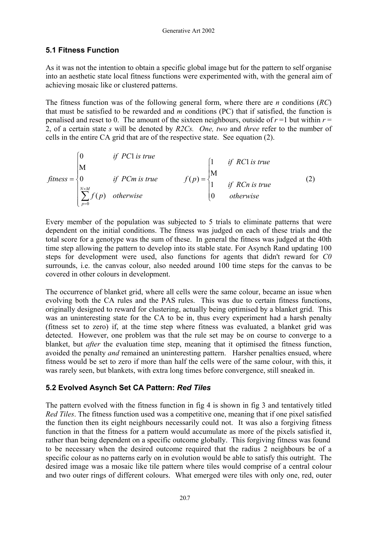### **5.1 Fitness Function**

As it was not the intention to obtain a specific global image but for the pattern to self organise into an aesthetic state local fitness functions were experimented with, with the general aim of achieving mosaic like or clustered patterns.

The fitness function was of the following general form, where there are *n* conditions (*RC*) that must be satisfied to be rewarded and *m* conditions (PC) that if satisfied, the function is penalised and reset to 0. The amount of the sixteen neighbours, outside of  $r = 1$  but within  $r =$ 2, of a certain state *s* will be denoted by *R2Cs. One, two* and *three* refer to the number of cells in the entire CA grid that are of the respective state. See equation (2).

$$
fitness = \begin{cases} 0 & \text{if } PC1 \text{ is true} \\ 0 & \text{if } PCm \text{ is true} \\ \sum_{p=0}^{N \times M} f(p) & \text{otherwise} \end{cases} \qquad f(p) = \begin{cases} 1 & \text{if } RC1 \text{ is true} \\ M \\ 1 & \text{if } RCn \text{ is true} \\ 0 & \text{otherwise} \end{cases} \qquad (2)
$$

Every member of the population was subjected to 5 trials to eliminate patterns that were dependent on the initial conditions. The fitness was judged on each of these trials and the total score for a genotype was the sum of these. In general the fitness was judged at the 40th time step allowing the pattern to develop into its stable state. For Asynch Rand updating 100 steps for development were used, also functions for agents that didn't reward for *C0*  surrounds, i.e. the canvas colour, also needed around 100 time steps for the canvas to be covered in other colours in development.

The occurrence of blanket grid, where all cells were the same colour, became an issue when evolving both the CA rules and the PAS rules. This was due to certain fitness functions, originally designed to reward for clustering, actually being optimised by a blanket grid. This was an uninteresting state for the CA to be in, thus every experiment had a harsh penalty (fitness set to zero) if, at the time step where fitness was evaluated, a blanket grid was detected. However, one problem was that the rule set may be on course to converge to a blanket, but *after* the evaluation time step, meaning that it optimised the fitness function, avoided the penalty *and* remained an uninteresting pattern. Harsher penalties ensued, where fitness would be set to zero if more than half the cells were of the same colour, with this, it was rarely seen, but blankets, with extra long times before convergence, still sneaked in.

### **5.2 Evolved Asynch Set CA Pattern:** *Red Tiles*

The pattern evolved with the fitness function in fig 4 is shown in fig 3 and tentatively titled *Red Tiles*. The fitness function used was a competitive one, meaning that if one pixel satisfied the function then its eight neighbours necessarily could not. It was also a forgiving fitness function in that the fitness for a pattern would accumulate as more of the pixels satisfied it, rather than being dependent on a specific outcome globally. This forgiving fitness was found to be necessary when the desired outcome required that the radius 2 neighbours be of a specific colour as no patterns early on in evolution would be able to satisfy this outright. The desired image was a mosaic like tile pattern where tiles would comprise of a central colour and two outer rings of different colours. What emerged were tiles with only one, red, outer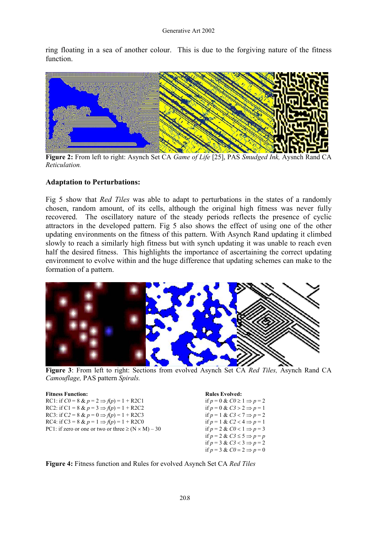ring floating in a sea of another colour. This is due to the forgiving nature of the fitness function.



**Figure 2:** From left to right: Asynch Set CA *Game of Life* [25], PAS *Smudged Ink,* Aysnch Rand CA *Reticulation.*

#### **Adaptation to Perturbations:**

Fig 5 show that *Red Tiles* was able to adapt to perturbations in the states of a randomly chosen, random amount, of its cells, although the original high fitness was never fully recovered. The oscillatory nature of the steady periods reflects the presence of cyclic attractors in the developed pattern. Fig 5 also shows the effect of using one of the other updating environments on the fitness of this pattern. With Asynch Rand updating it climbed slowly to reach a similarly high fitness but with synch updating it was unable to reach even half the desired fitness. This highlights the importance of ascertaining the correct updating environment to evolve within and the huge difference that updating schemes can make to the formation of a pattern.



**Figure 3**: From left to right: Sections from evolved Asynch Set CA *Red Tiles,* Asynch Rand CA *Camouflage,* PAS pattern *Spirals.*

| PC1: if zero or one or two or three $\geq (N \times M) - 3$ |
|-------------------------------------------------------------|
|                                                             |

**Rules Evolved:** if  $p = 0$  &  $C0 \ge 1 \Rightarrow p = 2$  $\text{if } p = 0 \& C3 > 2 \Rightarrow p = 1$ if  $p = 1 \& C3 < 7 \Rightarrow p = 2$  $\hat{f} = 1 \& C2 < 4 \Rightarrow p = 1$ 30 if  $p = 2 \& C0 < 1 \Rightarrow p = 3$ if  $p = 2 \& C3 \leq 5 \Rightarrow p = p$ if  $p = 3$  &  $C3 < 3 \Rightarrow p = 2$ if  $p = 3$  &  $C\theta = 2 \implies p = 0$ 

**Figure 4:** Fitness function and Rules for evolved Asynch Set CA *Red Tiles*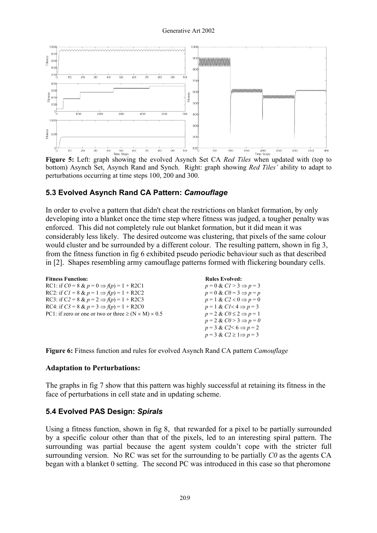

**Figure 5:** Left: graph showing the evolved Asynch Set CA *Red Tiles* when updated with (top to bottom) Asynch Set, Asynch Rand and Synch. Right: graph showing *Red Tiles'* ability to adapt to perturbations occurring at time steps 100, 200 and 300.

### **5.3 Evolved Asynch Rand CA Pattern:** *Camouflage*

In order to evolve a pattern that didn't cheat the restrictions on blanket formation, by only developing into a blanket once the time step where fitness was judged, a tougher penalty was enforced. This did not completely rule out blanket formation, but it did mean it was considerably less likely. The desired outcome was clustering, that pixels of the same colour would cluster and be surrounded by a different colour. The resulting pattern, shown in fig 3, from the fitness function in fig 6 exhibited pseudo periodic behaviour such as that described in [2]. Shapes resembling army camouflage patterns formed with flickering boundary cells.

| <b>Fitness Function:</b>                                           | <b>Rules Evolved:</b>                  |
|--------------------------------------------------------------------|----------------------------------------|
| RC1: if $C0 = 8$ & $p = 0 \Rightarrow f(p) = 1 + R2C1$             | $p = 0 \& CI > 3 \Rightarrow p = 3$    |
| RC2: if $CI = 8 \& p = 1 \Rightarrow f(p) = 1 + R2C2$              | $p = 0 \& C0 = 3 \Rightarrow p = p$    |
| RC3: if C2 = 8 & $p = 2 \Rightarrow f(p) = 1 + R2C3$               | $p = 1 \& C2 < 0 \Rightarrow p = 0$    |
| RC4: if $C3 = 8$ & $p = 3 \Rightarrow f(p) = 1 + R2CO$             | $p = 1 \& C1 < 4 \Rightarrow p = 3$    |
| PC1: if zero or one or two or three $\geq (N \times M) \times 0.5$ | $p = 2 \& C0 \leq 2 \Rightarrow p = 1$ |
|                                                                    | $p = 2 \& C0 > 3 \Rightarrow p = 0$    |
|                                                                    | $p = 3 \& C2 \leq 6 \Rightarrow p = 2$ |
|                                                                    | $p = 3 \& C2 \geq 1 \Rightarrow p = 3$ |

**Figure 6:** Fitness function and rules for evolved Asynch Rand CA pattern *Camouflage*

#### **Adaptation to Perturbations:**

The graphs in fig 7 show that this pattern was highly successful at retaining its fitness in the face of perturbations in cell state and in updating scheme.

#### **5.4 Evolved PAS Design:** *Spirals*

Using a fitness function, shown in fig 8, that rewarded for a pixel to be partially surrounded by a specific colour other than that of the pixels, led to an interesting spiral pattern. The surrounding was partial because the agent system couldn't cope with the stricter full surrounding version. No RC was set for the surrounding to be partially *C0* as the agents CA began with a blanket 0 setting. The second PC was introduced in this case so that pheromone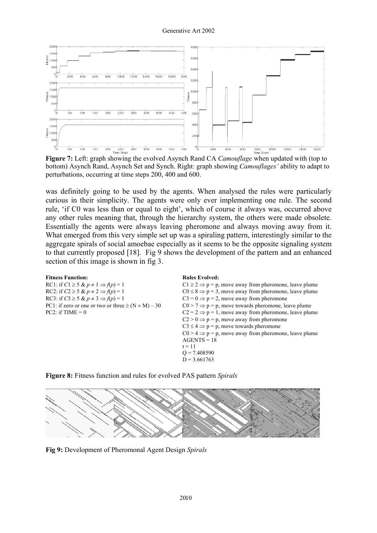

**Figure 7:** Left: graph showing the evolved Asynch Rand CA *Camouflage* when updated with (top to bottom) Asynch Rand, Asynch Set and Synch. Right: graph showing *Camouflages'* ability to adapt to perturbations, occurring at time steps 200, 400 and 600.

was definitely going to be used by the agents. When analysed the rules were particularly curious in their simplicity. The agents were only ever implementing one rule. The second rule, 'if C0 was less than or equal to eight', which of course it always was, occurred above any other rules meaning that, through the hierarchy system, the others were made obsolete. Essentially the agents were always leaving pheromone and always moving away from it. What emerged from this very simple set up was a spiraling pattern, interestingly similar to the aggregate spirals of social amoebae especially as it seems to be the opposite signaling system to that currently proposed [18]. Fig 9 shows the development of the pattern and an enhanced section of this image is shown in fig 3.

| <b>Fitness Function:</b>                                     | <b>Rules Evolved:</b>                                                |
|--------------------------------------------------------------|----------------------------------------------------------------------|
| RC1: if $C1 \ge 5$ & $p \ne 1 \Rightarrow f(p) = 1$          | $C1 \ge 2 \Rightarrow p = p$ , move away from pheromone, leave plume |
| RC2: if $C2 \ge 5$ & $p \ne 2 \Rightarrow f(p) = 1$          | $C0 \le 8 \Rightarrow p = 3$ , move away from pheromone, leave plume |
| RC3: if $C3 \ge 5$ & $p \ne 3 \Rightarrow f(p) = 1$          | $C3 = 0 \Rightarrow p = 2$ , move away from pheromone                |
| PC1: if zero or one or two or three $\geq (N \times M) - 30$ | $CO > 7 \Rightarrow p = p$ , move towards pheromone, leave plume     |
| $PC2:$ if TIME = 0                                           | $C2 = 2 \implies p = 1$ , move away from pheromone, leave plume      |
|                                                              | $C2 > 0 \Rightarrow p = p$ , move away from pheromone                |
|                                                              | $C3 \le 4 \Rightarrow p = p$ , move towards pheromone                |
|                                                              | $CO > 4 \Rightarrow p = p$ , move away from pheromone, leave plume   |
|                                                              | $AGENTS = 18$                                                        |
|                                                              | $t = 11$                                                             |
|                                                              | $Q = 7.408590$                                                       |
|                                                              | $D = 3.661763$                                                       |





**Fig 9:** Development of Pheromonal Agent Design *Spirals*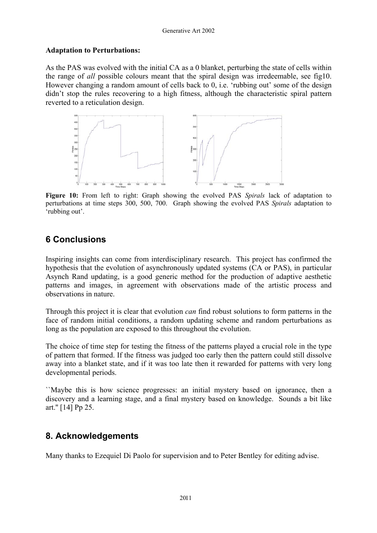#### **Adaptation to Perturbations:**

As the PAS was evolved with the initial CA as a 0 blanket, perturbing the state of cells within the range of *all* possible colours meant that the spiral design was irredeemable, see fig10. However changing a random amount of cells back to 0, i.e. 'rubbing out' some of the design didn't stop the rules recovering to a high fitness, although the characteristic spiral pattern reverted to a reticulation design.



**Figure 10:** From left to right: Graph showing the evolved PAS *Spirals* lack of adaptation to perturbations at time steps 300, 500, 700. Graph showing the evolved PAS *Spirals* adaptation to 'rubbing out'.

# **6 Conclusions**

Inspiring insights can come from interdisciplinary research. This project has confirmed the hypothesis that the evolution of asynchronously updated systems (CA or PAS), in particular Asynch Rand updating, is a good generic method for the production of adaptive aesthetic patterns and images, in agreement with observations made of the artistic process and observations in nature.

Through this project it is clear that evolution *can* find robust solutions to form patterns in the face of random initial conditions, a random updating scheme and random perturbations as long as the population are exposed to this throughout the evolution.

The choice of time step for testing the fitness of the patterns played a crucial role in the type of pattern that formed. If the fitness was judged too early then the pattern could still dissolve away into a blanket state, and if it was too late then it rewarded for patterns with very long developmental periods.

``Maybe this is how science progresses: an initial mystery based on ignorance, then a discovery and a learning stage, and a final mystery based on knowledge. Sounds a bit like art.'' [14] Pp 25.

## **8. Acknowledgements**

Many thanks to Ezequiel Di Paolo for supervision and to Peter Bentley for editing advise.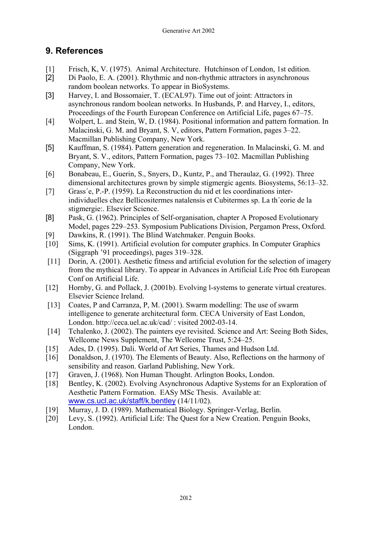# **9. References**

- [1] Frisch, K, V. (1975). Animal Architecture. Hutchinson of London, 1st edition.
- [2] Di Paolo, E. A. (2001). Rhythmic and non-rhythmic attractors in asynchronous random boolean networks. To appear in BioSystems.
- [3] Harvey, I. and Bossomaier, T. (ECAL97). Time out of joint: Attractors in asynchronous random boolean networks. In Husbands, P. and Harvey, I., editors, Proceedings of the Fourth European Conference on Artificial Life, pages 67–75.
- [4] Wolpert, L. and Stein, W, D. (1984). Positional information and pattern formation. In Malacinski, G. M. and Bryant, S. V, editors, Pattern Formation, pages 3–22. Macmillan Publishing Company, New York.
- [5] Kauffman, S. (1984). Pattern generation and regeneration. In Malacinski, G. M. and Bryant, S. V., editors, Pattern Formation, pages 73–102. Macmillan Publishing Company, New York.
- [6] Bonabeau, E., Guerin, S., Snyers, D., Kuntz, P., and Theraulaz, G. (1992). Three dimensional architectures grown by simple stigmergic agents. Biosystems, 56:13–32.
- [7] Grass´e, P.-P. (1959). La Reconstruction du nid et les coordinations interindividuelles chez Bellicositermes natalensis et Cubitermes sp. La th´eorie de la stigmergie:. Elsevier Science.
- [8] Pask, G. (1962). Principles of Self-organisation, chapter A Proposed Evolutionary Model, pages 229–253. Symposium Publications Division, Pergamon Press, Oxford.
- [9] Dawkins, R. (1991). The Blind Watchmaker. Penguin Books.
- [10] Sims, K. (1991). Artificial evolution for computer graphics. In Computer Graphics (Siggraph '91 proceedings), pages 319–328.
- [11] Dorin, A. (2001). Aesthetic fitness and artificial evolution for the selection of imagery from the mythical library. To appear in Advances in Artificial Life Proc 6th European Conf on Artificial Life.
- [12] Hornby, G. and Pollack, J. (2001b). Evolving l-systems to generate virtual creatures. Elsevier Science Ireland.
- [13] Coates, P and Carranza, P, M. (2001). Swarm modelling: The use of swarm intelligence to generate architectural form. CECA University of East London, London. http://ceca.uel.ac.uk/cad/ : visited 2002-03-14.
- [14] Tchalenko, J. (2002). The painters eye revisited. Science and Art: Seeing Both Sides, Wellcome News Supplement, The Wellcome Trust, 5:24–25.
- [15] Ades, D. (1995). Dali. World of Art Series, Thames and Hudson Ltd.
- [16] Donaldson, J. (1970). The Elements of Beauty. Also, Reflections on the harmony of sensibility and reason. Garland Publishing, New York.
- [17] Graven, J. (1968). Non Human Thought. Arlington Books, London.
- [18] Bentley, K. (2002). Evolving Asynchronous Adaptive Systems for an Exploration of Aesthetic Pattern Formation. EASy MSc Thesis. Available at: [www.cs.ucl.ac.uk/staff/k.bentley](http://www.cs.ucl.ac.uk/k.bentley) (14/11/02).
- [19] Murray, J. D. (1989). Mathematical Biology. Springer-Verlag, Berlin.
- [20] Levy, S. (1992). Artificial Life: The Quest for a New Creation. Penguin Books, London.